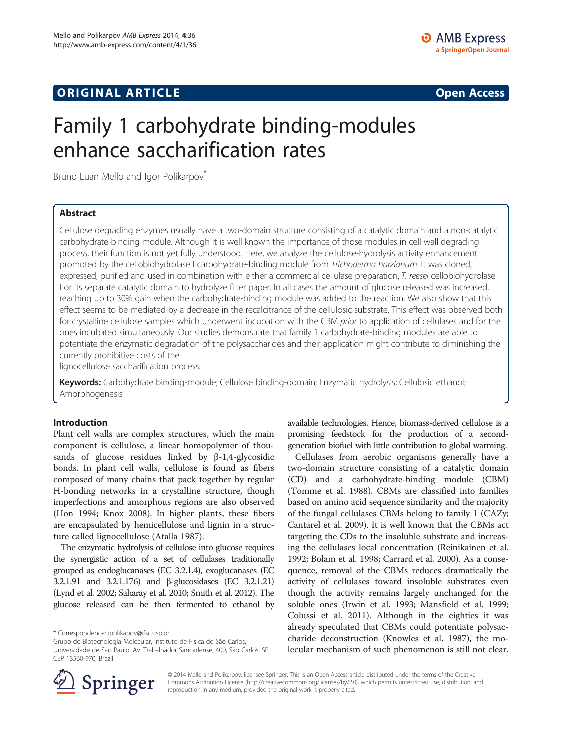## **ORIGINAL ARTICLE CONSERVANCE IN A LOCAL CONSERVANCE IN A LOCAL CONSERVANCE IN A LOCAL CONSERVANCE IN A LOCAL CONSERVANCE IN A LOCAL CONSERVANCE IN A LOCAL CONSERVANCE IN A LOCAL CONSERVANCE IN A LOCAL CONSERVANCE IN A L**

# Family 1 carbohydrate binding-modules enhance saccharification rates

Bruno Luan Mello and Igor Polikarpov<sup>®</sup>

## Abstract

Cellulose degrading enzymes usually have a two-domain structure consisting of a catalytic domain and a non-catalytic carbohydrate-binding module. Although it is well known the importance of those modules in cell wall degrading process, their function is not yet fully understood. Here, we analyze the cellulose-hydrolysis activity enhancement promoted by the cellobiohydrolase I carbohydrate-binding module from Trichoderma harzianum. It was cloned, expressed, purified and used in combination with either a commercial cellulase preparation, T. reesei cellobiohydrolase I or its separate catalytic domain to hydrolyze filter paper. In all cases the amount of glucose released was increased, reaching up to 30% gain when the carbohydrate-binding module was added to the reaction. We also show that this effect seems to be mediated by a decrease in the recalcitrance of the cellulosic substrate. This effect was observed both for crystalline cellulose samples which underwent incubation with the CBM prior to application of cellulases and for the ones incubated simultaneously. Our studies demonstrate that family 1 carbohydrate-binding modules are able to potentiate the enzymatic degradation of the polysaccharides and their application might contribute to diminishing the currently prohibitive costs of the

lignocellulose saccharification process.

Keywords: Carbohydrate binding-module; Cellulose binding-domain; Enzymatic hydrolysis; Cellulosic ethanol; Amorphogenesis

## Introduction

Plant cell walls are complex structures, which the main component is cellulose, a linear homopolymer of thousands of glucose residues linked by  $\beta$ -1,4-glycosidic bonds. In plant cell walls, cellulose is found as fibers composed of many chains that pack together by regular H-bonding networks in a crystalline structure, though imperfections and amorphous regions are also observed (Hon [1994](#page-5-0); Knox [2008\)](#page-5-0). In higher plants, these fibers are encapsulated by hemicellulose and lignin in a structure called lignocellulose (Atalla [1987\)](#page-5-0).

The enzymatic hydrolysis of cellulose into glucose requires the synergistic action of a set of cellulases traditionally grouped as endoglucanases (EC 3.2.1.4), exoglucanases (EC 3.2.1.91 and 3.2.1.176) and β-glucosidases (EC 3.2.1.21) (Lynd et al. [2002](#page-5-0); Saharay et al. [2010;](#page-5-0) Smith et al. [2012](#page-5-0)). The glucose released can be then fermented to ethanol by

Grupo de Biotecnologia Molecular, Instituto de Física de São Carlos, Universidade de São Paulo. Av. Trabalhador Sancarlense, 400, São Carlos, SP CEP 13560-970, Brazil

available technologies. Hence, biomass-derived cellulose is a promising feedstock for the production of a secondgeneration biofuel with little contribution to global warming.

Cellulases from aerobic organisms generally have a two-domain structure consisting of a catalytic domain (CD) and a carbohydrate-binding module (CBM) (Tomme et al. [1988\)](#page-5-0). CBMs are classified into families based on amino acid sequence similarity and the majority of the fungal cellulases CBMs belong to family 1 [\(CAZy](#page-5-0); Cantarel et al. [2009](#page-5-0)). It is well known that the CBMs act targeting the CDs to the insoluble substrate and increasing the cellulases local concentration (Reinikainen et al. [1992](#page-5-0); Bolam et al. [1998;](#page-5-0) Carrard et al. [2000\)](#page-5-0). As a consequence, removal of the CBMs reduces dramatically the activity of cellulases toward insoluble substrates even though the activity remains largely unchanged for the soluble ones (Irwin et al. [1993](#page-5-0); Mansfield et al. [1999](#page-5-0); Colussi et al. [2011\)](#page-5-0). Although in the eighties it was already speculated that CBMs could potentiate polysaccharide deconstruction (Knowles et al. [1987\)](#page-5-0), the molecular mechanism of such phenomenon is still not clear.



© 2014 Mello and Polikarpov; licensee Springer. This is an Open Access article distributed under the terms of the Creative Commons Attribution License (<http://creativecommons.org/licenses/by/2.0>), which permits unrestricted use, distribution, and reproduction in any medium, provided the original work is properly cited.

<sup>\*</sup> Correspondence: [ipolikapov@ifsc.usp.br](mailto:ipolikapov@ifsc.usp.br)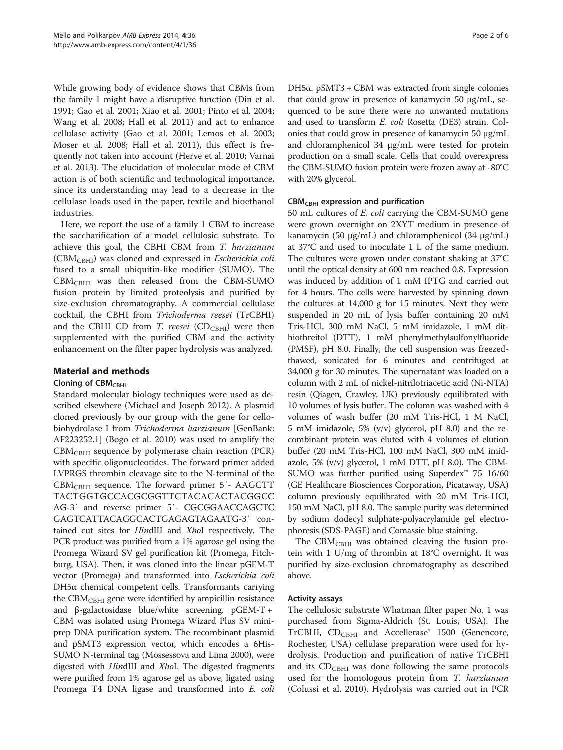While growing body of evidence shows that CBMs from the family 1 might have a disruptive function (Din et al. [1991](#page-5-0); Gao et al. [2001;](#page-5-0) Xiao et al. [2001](#page-5-0); Pinto et al. [2004](#page-5-0); Wang et al. [2008;](#page-5-0) Hall et al. [2011\)](#page-5-0) and act to enhance cellulase activity (Gao et al. [2001](#page-5-0); Lemos et al. [2003](#page-5-0); Moser et al. [2008](#page-5-0); Hall et al. [2011](#page-5-0)), this effect is frequently not taken into account (Herve et al. [2010;](#page-5-0) Varnai et al. [2013\)](#page-5-0). The elucidation of molecular mode of CBM action is of both scientific and technological importance, since its understanding may lead to a decrease in the cellulase loads used in the paper, textile and bioethanol industries.

Here, we report the use of a family 1 CBM to increase the saccharification of a model cellulosic substrate. To achieve this goal, the CBHI CBM from T. harzianum  $(CBM_{CBHI})$  was cloned and expressed in *Escherichia coli* fused to a small ubiquitin-like modifier (SUMO). The  $CBM<sub>CBHI</sub>$  was then released from the CBM-SUMO fusion protein by limited proteolysis and purified by size-exclusion chromatography. A commercial cellulase cocktail, the CBHI from Trichoderma reesei (TrCBHI) and the CBHI CD from T. reesei  $(CD_{CBHI})$  were then supplemented with the purified CBM and the activity enhancement on the filter paper hydrolysis was analyzed.

## Material and methods

## Cloning of CBM<sub>CBHI</sub>

Standard molecular biology techniques were used as described elsewhere (Michael and Joseph [2012\)](#page-5-0). A plasmid cloned previously by our group with the gene for cellobiohydrolase I from Trichoderma harzianum [GenBank: AF223252.1] (Bogo et al. [2010\)](#page-5-0) was used to amplify the  $CBM<sub>CBHI</sub>$  sequence by polymerase chain reaction (PCR) with specific oligonucleotides. The forward primer added LVPRGS thrombin cleavage site to the N-terminal of the CBMCBHI sequence. The forward primer 5′- AAGCTT TACTGGTGCCACGCGGTTCTACACACTACGGCC AG-3′ and reverse primer 5′- CGCGGAACCAGCTC GAGTCATTACAGGCACTGAGAGTAGAATG-3′ contained cut sites for HindIII and XhoI respectively. The PCR product was purified from a 1% agarose gel using the Promega Wizard SV gel purification kit (Promega, Fitchburg, USA). Then, it was cloned into the linear pGEM-T vector (Promega) and transformed into Escherichia coli DH5α chemical competent cells. Transformants carrying the  $CBM<sub>CBHI</sub>$  gene were identified by ampicillin resistance and β-galactosidase blue/white screening. pGEM-T + CBM was isolated using Promega Wizard Plus SV miniprep DNA purification system. The recombinant plasmid and pSMT3 expression vector, which encodes a 6His-SUMO N-terminal tag (Mossessova and Lima [2000](#page-5-0)), were digested with HindIII and XhoI. The digested fragments were purified from 1% agarose gel as above, ligated using Promega T4 DNA ligase and transformed into E. coli DH5α. pSMT3 + CBM was extracted from single colonies that could grow in presence of kanamycin 50 μg/mL, sequenced to be sure there were no unwanted mutations and used to transform E. coli Rosetta (DE3) strain. Colonies that could grow in presence of kanamycin 50 μg/mL and chloramphenicol 34 μg/mL were tested for protein production on a small scale. Cells that could overexpress the CBM-SUMO fusion protein were frozen away at -80°C with 20% glycerol.

#### $CBM<sub>CBHI</sub>$  expression and purification

50 mL cultures of E. coli carrying the CBM-SUMO gene were grown overnight on 2XYT medium in presence of kanamycin (50 μg/mL) and chloramphenicol (34 μg/mL) at 37°C and used to inoculate 1 L of the same medium. The cultures were grown under constant shaking at 37°C until the optical density at 600 nm reached 0.8. Expression was induced by addition of 1 mM IPTG and carried out for 4 hours. The cells were harvested by spinning down the cultures at 14,000 g for 15 minutes. Next they were suspended in 20 mL of lysis buffer containing 20 mM Tris-HCl, 300 mM NaCl, 5 mM imidazole, 1 mM dithiothreitol (DTT), 1 mM phenylmethylsulfonylfluoride (PMSF), pH 8.0. Finally, the cell suspension was freezedthawed, sonicated for 6 minutes and centrifuged at 34,000 g for 30 minutes. The supernatant was loaded on a column with 2 mL of nickel-nitrilotriacetic acid (Ni-NTA) resin (Qiagen, Crawley, UK) previously equilibrated with 10 volumes of lysis buffer. The column was washed with 4 volumes of wash buffer (20 mM Tris-HCl, 1 M NaCl, 5 mM imidazole, 5% (v/v) glycerol, pH 8.0) and the recombinant protein was eluted with 4 volumes of elution buffer (20 mM Tris-HCl, 100 mM NaCl, 300 mM imidazole, 5%  $(v/v)$  glycerol, 1 mM DTT, pH 8.0). The CBM-SUMO was further purified using Superdex™ 75 16/60 (GE Healthcare Biosciences Corporation, Picataway, USA) column previously equilibrated with 20 mM Tris-HCl, 150 mM NaCl, pH 8.0. The sample purity was determined by sodium dodecyl sulphate-polyacrylamide gel electrophoresis (SDS-PAGE) and Comassie blue staining.

The CBM<sub>CBHI</sub> was obtained cleaving the fusion protein with 1 U/mg of thrombin at 18°C overnight. It was purified by size-exclusion chromatography as described above.

## Activity assays

The cellulosic substrate Whatman filter paper No. 1 was purchased from Sigma-Aldrich (St. Louis, USA). The TrCBHI,  $CD_{CBHI}$  and Accellerase® 1500 (Genencore, Rochester, USA) cellulase preparation were used for hydrolysis. Production and purification of native TrCBHI and its  $CD_{CBHI}$  was done following the same protocols used for the homologous protein from T. harzianum (Colussi et al. [2010\)](#page-5-0). Hydrolysis was carried out in PCR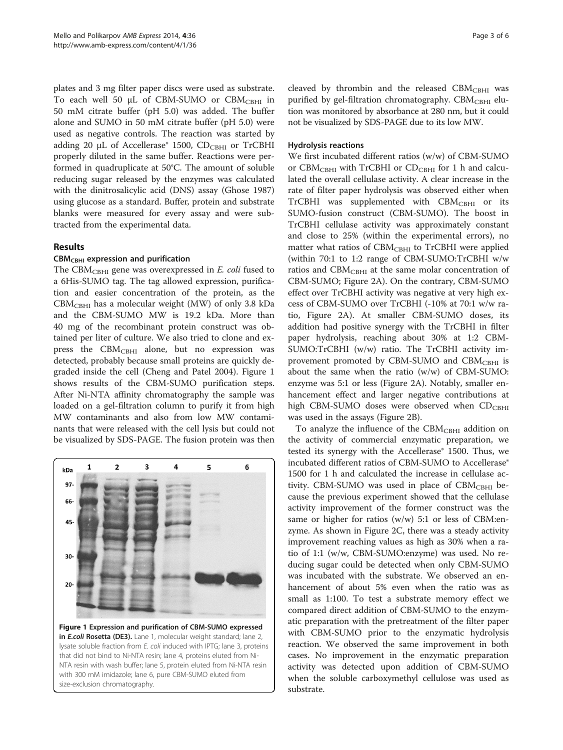plates and 3 mg filter paper discs were used as substrate. To each well 50 μL of CBM-SUMO or CBM<sub>CBHI</sub> in 50 mM citrate buffer (pH 5.0) was added. The buffer alone and SUMO in 50 mM citrate buffer (pH 5.0) were used as negative controls. The reaction was started by adding 20 μL of Accellerase® 1500,  $CD_{CBHI}$  or TrCBHI properly diluted in the same buffer. Reactions were performed in quadruplicate at 50°C. The amount of soluble reducing sugar released by the enzymes was calculated with the dinitrosalicylic acid (DNS) assay (Ghose [1987](#page-5-0)) using glucose as a standard. Buffer, protein and substrate blanks were measured for every assay and were subtracted from the experimental data.

## Results

## $CBM<sub>CBHI</sub>$  expression and purification

The CBM<sub>CBHI</sub> gene was overexpressed in  $E$ . coli fused to a 6His-SUMO tag. The tag allowed expression, purification and easier concentration of the protein, as the  $CBM<sub>CBHI</sub>$  has a molecular weight (MW) of only 3.8 kDa and the CBM-SUMO MW is 19.2 kDa. More than 40 mg of the recombinant protein construct was obtained per liter of culture. We also tried to clone and express the  $CBM<sub>CBHI</sub>$  alone, but no expression was detected, probably because small proteins are quickly degraded inside the cell (Cheng and Patel [2004\)](#page-5-0). Figure 1 shows results of the CBM-SUMO purification steps. After Ni-NTA affinity chromatography the sample was loaded on a gel-filtration column to purify it from high MW contaminants and also from low MW contaminants that were released with the cell lysis but could not be visualized by SDS-PAGE. The fusion protein was then



in E.coli Rosetta (DE3). Lane 1, molecular weight standard; lane 2, lysate soluble fraction from E. coli induced with IPTG; lane 3, proteins that did not bind to Ni-NTA resin; lane 4, proteins eluted from Ni-NTA resin with wash buffer; lane 5, protein eluted from Ni-NTA resin with 300 mM imidazole; lane 6, pure CBM-SUMO eluted from size-exclusion chromatography.

cleaved by thrombin and the released  $CBM_{CBHI}$  was purified by gel-filtration chromatography. CB $M_{CBHI}$  elution was monitored by absorbance at 280 nm, but it could not be visualized by SDS-PAGE due to its low MW.

#### Hydrolysis reactions

We first incubated different ratios (w/w) of CBM-SUMO or CBM<sub>CBHI</sub> with TrCBHI or  $CD_{CBHI}$  for 1 h and calculated the overall cellulase activity. A clear increase in the rate of filter paper hydrolysis was observed either when  $TrCBHI$  was supplemented with  $CBM_{CBHI}$  or its SUMO-fusion construct (CBM-SUMO). The boost in TrCBHI cellulase activity was approximately constant and close to 25% (within the experimental errors), no matter what ratios of  $CBM_{CBHI}$  to TrCBHI were applied (within 70:1 to 1:2 range of CBM-SUMO:TrCBHI w/w ratios and  $CBM_{CBHI}$  at the same molar concentration of CBM-SUMO; Figure [2A](#page-3-0)). On the contrary, CBM-SUMO effect over TrCBHI activity was negative at very high excess of CBM-SUMO over TrCBHI (-10% at 70:1 w/w ratio, Figure [2A](#page-3-0)). At smaller CBM-SUMO doses, its addition had positive synergy with the TrCBHI in filter paper hydrolysis, reaching about 30% at 1:2 CBM-SUMO:TrCBHI (w/w) ratio. The TrCBHI activity improvement promoted by CBM-SUMO and CBM<sub>CBHI</sub> is about the same when the ratio (w/w) of CBM-SUMO: enzyme was 5:1 or less (Figure [2](#page-3-0)A). Notably, smaller enhancement effect and larger negative contributions at high CBM-SUMO doses were observed when  $CD_{CBHI}$ was used in the assays (Figure [2B](#page-3-0)).

To analyze the influence of the  $CBM<sub>CBHI</sub>$  addition on the activity of commercial enzymatic preparation, we tested its synergy with the Accellerase® 1500. Thus, we incubated different ratios of CBM-SUMO to Accellerase® 1500 for 1 h and calculated the increase in cellulase activity. CBM-SUMO was used in place of  $CBM_{CBHI}$  because the previous experiment showed that the cellulase activity improvement of the former construct was the same or higher for ratios (w/w) 5:1 or less of CBM:enzyme. As shown in Figure [2](#page-3-0)C, there was a steady activity improvement reaching values as high as 30% when a ratio of 1:1 (w/w, CBM-SUMO:enzyme) was used. No reducing sugar could be detected when only CBM-SUMO was incubated with the substrate. We observed an enhancement of about 5% even when the ratio was as small as 1:100. To test a substrate memory effect we compared direct addition of CBM-SUMO to the enzymatic preparation with the pretreatment of the filter paper with CBM-SUMO prior to the enzymatic hydrolysis reaction. We observed the same improvement in both cases. No improvement in the enzymatic preparation activity was detected upon addition of CBM-SUMO when the soluble carboxymethyl cellulose was used as substrate.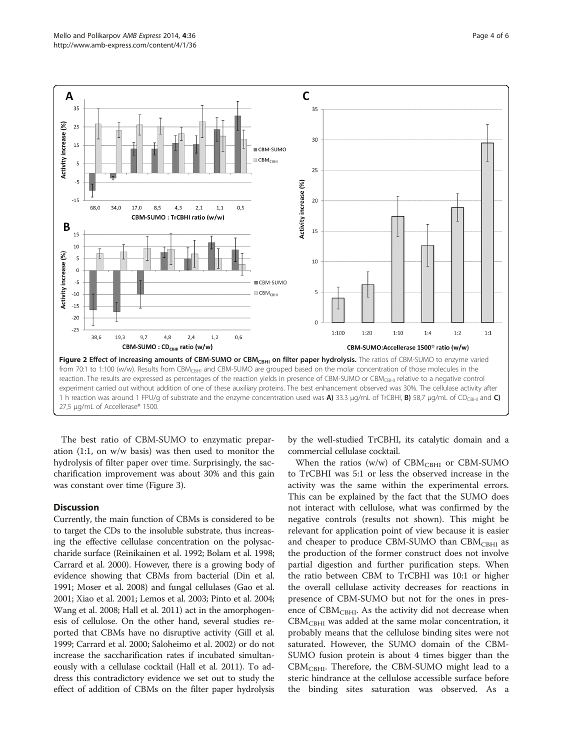<span id="page-3-0"></span>

The best ratio of CBM-SUMO to enzymatic preparation (1:1, on w/w basis) was then used to monitor the hydrolysis of filter paper over time. Surprisingly, the saccharification improvement was about 30% and this gain was constant over time (Figure [3](#page-4-0)).

## **Discussion**

Currently, the main function of CBMs is considered to be to target the CDs to the insoluble substrate, thus increasing the effective cellulase concentration on the polysaccharide surface (Reinikainen et al. [1992;](#page-5-0) Bolam et al. [1998](#page-5-0); Carrard et al. [2000](#page-5-0)). However, there is a growing body of evidence showing that CBMs from bacterial (Din et al. [1991;](#page-5-0) Moser et al. [2008](#page-5-0)) and fungal cellulases (Gao et al. [2001;](#page-5-0) Xiao et al. [2001](#page-5-0); Lemos et al. [2003](#page-5-0); Pinto et al. [2004](#page-5-0); Wang et al. [2008;](#page-5-0) Hall et al. [2011](#page-5-0)) act in the amorphogenesis of cellulose. On the other hand, several studies reported that CBMs have no disruptive activity (Gill et al. [1999;](#page-5-0) Carrard et al. [2000;](#page-5-0) Saloheimo et al. [2002\)](#page-5-0) or do not increase the saccharification rates if incubated simultaneously with a cellulase cocktail (Hall et al. [2011](#page-5-0)). To address this contradictory evidence we set out to study the effect of addition of CBMs on the filter paper hydrolysis

by the well-studied TrCBHI, its catalytic domain and a commercial cellulase cocktail.

When the ratios (w/w) of  $CBM_{CBHI}$  or  $CBM-SUMO$ to TrCBHI was 5:1 or less the observed increase in the activity was the same within the experimental errors. This can be explained by the fact that the SUMO does not interact with cellulose, what was confirmed by the negative controls (results not shown). This might be relevant for application point of view because it is easier and cheaper to produce CBM-SUMO than  $CBM<sub>CBHI</sub>$  as the production of the former construct does not involve partial digestion and further purification steps. When the ratio between CBM to TrCBHI was 10:1 or higher the overall cellulase activity decreases for reactions in presence of CBM-SUMO but not for the ones in presence of CBM<sub>CBHI</sub>. As the activity did not decrease when  $CBM<sub>CBHI</sub>$  was added at the same molar concentration, it probably means that the cellulose binding sites were not saturated. However, the SUMO domain of the CBM-SUMO fusion protein is about 4 times bigger than the  $CBM<sub>CBHI</sub>$ . Therefore, the CBM-SUMO might lead to a steric hindrance at the cellulose accessible surface before the binding sites saturation was observed. As a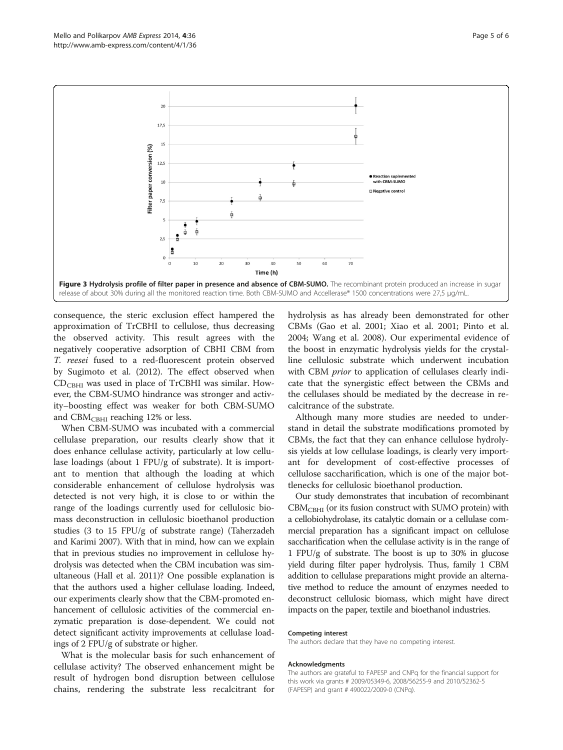<span id="page-4-0"></span>

consequence, the steric exclusion effect hampered the approximation of TrCBHI to cellulose, thus decreasing the observed activity. This result agrees with the negatively cooperative adsorption of CBHI CBM from T. reesei fused to a red-fluorescent protein observed by Sugimoto et al. ([2012\)](#page-5-0). The effect observed when CDCBHI was used in place of TrCBHI was similar. However, the CBM-SUMO hindrance was stronger and activity–boosting effect was weaker for both CBM-SUMO and  $CBM<sub>CHII</sub>$  reaching 12% or less.

When CBM-SUMO was incubated with a commercial cellulase preparation, our results clearly show that it does enhance cellulase activity, particularly at low cellulase loadings (about 1 FPU/g of substrate). It is important to mention that although the loading at which considerable enhancement of cellulose hydrolysis was detected is not very high, it is close to or within the range of the loadings currently used for cellulosic biomass deconstruction in cellulosic bioethanol production studies (3 to 15 FPU/g of substrate range) (Taherzadeh and Karimi [2007](#page-5-0)). With that in mind, how can we explain that in previous studies no improvement in cellulose hydrolysis was detected when the CBM incubation was simultaneous (Hall et al. [2011](#page-5-0))? One possible explanation is that the authors used a higher cellulase loading. Indeed, our experiments clearly show that the CBM-promoted enhancement of cellulosic activities of the commercial enzymatic preparation is dose-dependent. We could not detect significant activity improvements at cellulase loadings of 2 FPU/g of substrate or higher.

What is the molecular basis for such enhancement of cellulase activity? The observed enhancement might be result of hydrogen bond disruption between cellulose chains, rendering the substrate less recalcitrant for

hydrolysis as has already been demonstrated for other CBMs (Gao et al. [2001](#page-5-0); Xiao et al. [2001](#page-5-0); Pinto et al. [2004](#page-5-0); Wang et al. [2008\)](#page-5-0). Our experimental evidence of the boost in enzymatic hydrolysis yields for the crystalline cellulosic substrate which underwent incubation with CBM *prior* to application of cellulases clearly indicate that the synergistic effect between the CBMs and the cellulases should be mediated by the decrease in recalcitrance of the substrate.

Although many more studies are needed to understand in detail the substrate modifications promoted by CBMs, the fact that they can enhance cellulose hydrolysis yields at low cellulase loadings, is clearly very important for development of cost-effective processes of cellulose saccharification, which is one of the major bottlenecks for cellulosic bioethanol production.

Our study demonstrates that incubation of recombinant  $CBM<sub>CBHI</sub>$  (or its fusion construct with SUMO protein) with a cellobiohydrolase, its catalytic domain or a cellulase commercial preparation has a significant impact on cellulose saccharification when the cellulase activity is in the range of 1 FPU/g of substrate. The boost is up to 30% in glucose yield during filter paper hydrolysis. Thus, family 1 CBM addition to cellulase preparations might provide an alternative method to reduce the amount of enzymes needed to deconstruct cellulosic biomass, which might have direct impacts on the paper, textile and bioethanol industries.

#### Competing interest

The authors declare that they have no competing interest.

#### Acknowledgments

The authors are grateful to FAPESP and CNPq for the financial support for this work via grants # 2009/05349-6, 2008/56255-9 and 2010/52362-5 (FAPESP) and grant # 490022/2009-0 (CNPq).